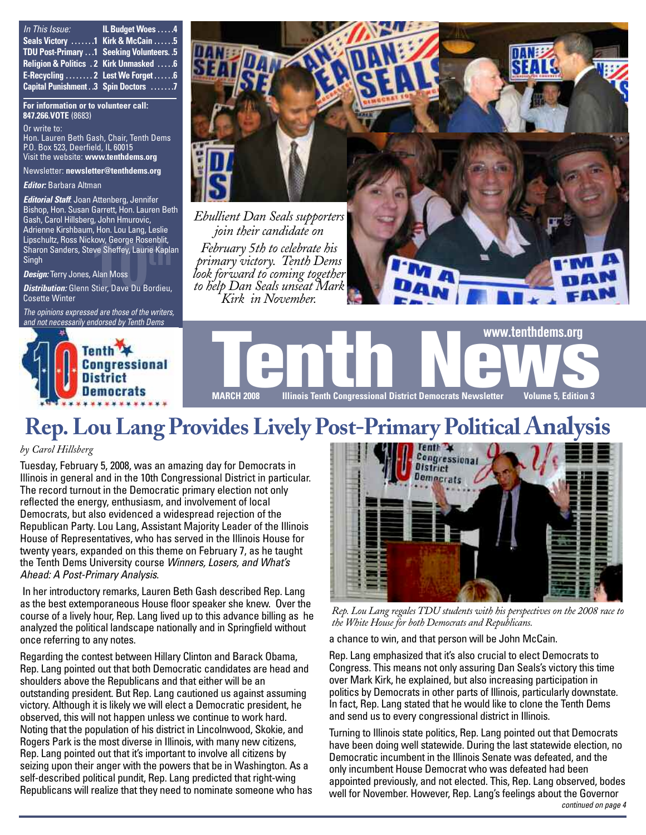| In This Issue:                               | IL Budget Woes 4 |
|----------------------------------------------|------------------|
| Seals Victory 1 Kirk & McCain 5              |                  |
| TDU Post-Primary  1 Seeking Volunteers. . 5  |                  |
| Religion & Politics . 2 Kirk Unmasked  6     |                  |
| E-Recycling  2 Lest We Forget  6             |                  |
| <b>Capital Punishment. .3 Spin Doctors 7</b> |                  |

**For information or to volunteer call: 847.266.VOTE** (8683)

Or write to:

Hon. Lauren Beth Gash, Chair, Tenth Dems P.O. Box 523, Deerfield, IL 60015 Visit the website: **www.tenthdems.org**

Newsletter: **newsletter@tenthdems.org**

*Editor:* Barbara Altman

kow, George Rosenblit,<br>ive Sheffey, Laurie Kapla<br>Alan Moss<br>Stier, Dave Du Bordieu, *Editorial Staff*: Joan Attenberg, Jennifer Bishop, Hon. Susan Garrett, Hon. Lauren Beth Gash, Carol Hillsberg, John Hmurovic, Adrienne Kirshbaum, Hon. Lou Lang, Leslie Lipschultz, Ross Nickow, George Rosenblit, Sharon Sanders, Steve Sheffey, Laurie Kaplan Singh

*Design:* Terry Jones, Alan Moss

*Distribution:* Glenn Stier, Dave Du Bordieu, Cosette Winter

*The opinions expressed are those of the writers, and not necessarily endorsed by Tenth Dems*





*February 5th to celebrate his primary victory. Tenth Dems look forward to coming together to help Dan Seals unseat Mark Kirk in November.*



# **Rep.Lou Lang Provides Lively Post-Primary Political Analysis**

#### *by Carol Hillsberg*

Tuesday, February 5, 2008, was an amazing day for Democrats in Illinois in general and in the 10th Congressional District in particular. The record turnout in the Democratic primary election not only reflected the energy, enthusiasm, and involvement of local Democrats, but also evidenced a widespread rejection of the Republican Party. Lou Lang, Assistant Majority Leader of the Illinois House of Representatives, who has served in the Illinois House for twenty years, expanded on this theme on February 7, as he taught the Tenth Dems University course *Winners, Losers, and What's Ahead: A Post-Primary Analysis*.

In her introductory remarks, Lauren Beth Gash described Rep. Lang as the best extemporaneous House floor speaker she knew. Over the course of a lively hour, Rep. Lang lived up to this advance billing as he analyzed the political landscape nationally and in Springfield without once referring to any notes.

Regarding the contest between Hillary Clinton and Barack Obama, Rep. Lang pointed out that both Democratic candidates are head and shoulders above the Republicans and that either will be an outstanding president. But Rep. Lang cautioned us against assuming victory. Although it is likely we will elect a Democratic president, he observed, this will not happen unless we continue to work hard. Noting that the population of his district in Lincolnwood, Skokie, and Rogers Park is the most diverse in Illinois, with many new citizens, Rep. Lang pointed out that it's important to involve all citizens by seizing upon their anger with the powers that be in Washington. As a self-described political pundit, Rep. Lang predicted that right-wing Republicans will realize that they need to nominate someone who has



*Rep. Lou Lang regalesTDU students with his perspectives on the 2008 race to the White House for both Democrats and Republicans.*

a chance to win, and that person will be John McCain.

Rep. Lang emphasized that it's also crucial to elect Democrats to Congress. This means not only assuring Dan Seals's victory this time over Mark Kirk, he explained, but also increasing participation in politics by Democrats in other parts of Illinois, particularly downstate. In fact, Rep. Lang stated that he would like to clone the Tenth Dems and send us to every congressional district in Illinois.

Turning to Illinois state politics, Rep. Lang pointed out that Democrats have been doing well statewide. During the last statewide election, no Democratic incumbent in the Illinois Senate was defeated, and the only incumbent House Democrat who was defeated had been appointed previously, and not elected. This, Rep. Lang observed, bodes well for November. However, Rep. Lang's feelings about the Governor *continued on page 4*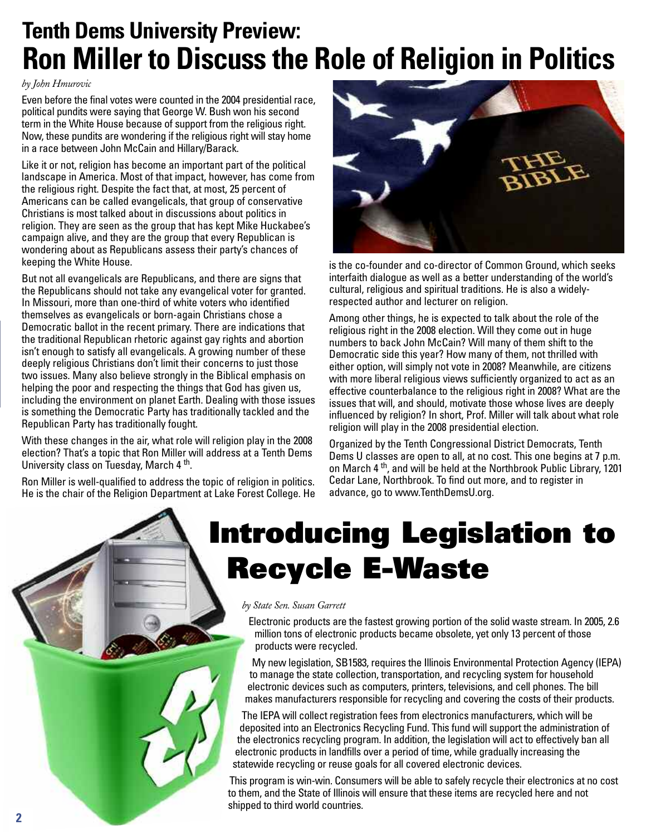## **Tenth Dems University Preview: Ron Miller to Discuss the Role of Religion in Politics**

#### *by John Hmurovic*

Even before the final votes were counted in the 2004 presidential race, political pundits were saying that George W. Bush won his second term in the White House because of support from the religious right. Now, these pundits are wondering if the religious right will stay home in a race between John McCain and Hillary/Barack.

Like it or not, religion has become an important part of the political landscape in America. Most of that impact, however, has come from the religious right. Despite the fact that, at most, 25 percent of Americans can be called evangelicals, that group of conservative Christians is most talked about in discussions about politics in religion. They are seen as the group that has kept Mike Huckabee's campaign alive, and they are the group that every Republican is wondering about as Republicans assess their party's chances of keeping the White House.

But not all evangelicals are Republicans, and there are signs that the Republicans should not take any evangelical voter for granted. In Missouri, more than one-third of white voters who identified themselves as evangelicals or born-again Christians chose a Democratic ballot in the recent primary. There are indications that the traditional Republican rhetoric against gay rights and abortion isn't enough to satisfy all evangelicals. A growing number of these deeply religious Christians don't limit their concerns to just those two issues. Many also believe strongly in the Biblical emphasis on helping the poor and respecting the things that God has given us, including the environment on planet Earth. Dealing with those issues is something the Democratic Party has traditionally tackled and the Republican Party has traditionally fought.

With these changes in the air, what role will religion play in the 2008 election? That's a topic that Ron Miller will address at a Tenth Dems University class on Tuesday, March 4<sup>th</sup>.

Ron Miller is well-qualified to address the topic of religion in politics. He is the chair of the Religion Department at Lake Forest College. He



is the co-founder and co-director of Common Ground, which seeks interfaith dialogue as well as a better understanding of the world's cultural, religious and spiritual traditions. He is also a widelyrespected author and lecturer on religion.

Among other things, he is expected to talk about the role of the religious right in the 2008 election. Will they come out in huge numbers to back John McCain? Will many of them shift to the Democratic side this year? How many of them, not thrilled with either option, will simply not vote in 2008? Meanwhile, are citizens with more liberal religious views sufficiently organized to act as an effective counterbalance to the religious right in 2008? What are the issues that will, and should, motivate those whose lives are deeply influenced by religion? In short, Prof. Miller will talk about what role religion will play in the 2008 presidential election.

Organized by the Tenth Congressional District Democrats, Tenth Dems U classes are open to all, at no cost. This one begins at 7 p.m. on March 4<sup>th</sup>, and will be held at the Northbrook Public Library, 1201 Cedar Lane, Northbrook. To find out more, and to register in advance, go to www.TenthDemsU.org.

# **Introducing Legislation to Recycle E-Waste**

#### *by State Sen. Susan Garrett*

Electronic products are the fastest growing portion of the solid waste stream. In 2005, 2.6 million tons of electronic products became obsolete, yet only 13 percent of those products were recycled.

My new legislation, SB1583, requires the Illinois Environmental Protection Agency (IEPA) to manage the state collection, transportation, and recycling system for household electronic devices such as computers, printers, televisions, and cell phones. The bill makes manufacturers responsible for recycling and covering the costs of their products.

The IEPA will collect registration fees from electronics manufacturers, which will be deposited into an Electronics Recycling Fund. This fund will support the administration of the electronics recycling program. In addition, the legislation will act to effectively ban all electronic products in landfills over a period of time, while gradually increasing the statewide recycling or reuse goals for all covered electronic devices.

This program is win-win. Consumers will be able to safely recycle their electronics at no cost to them, and the State of Illinois will ensure that these items are recycled here and not shipped to third world countries.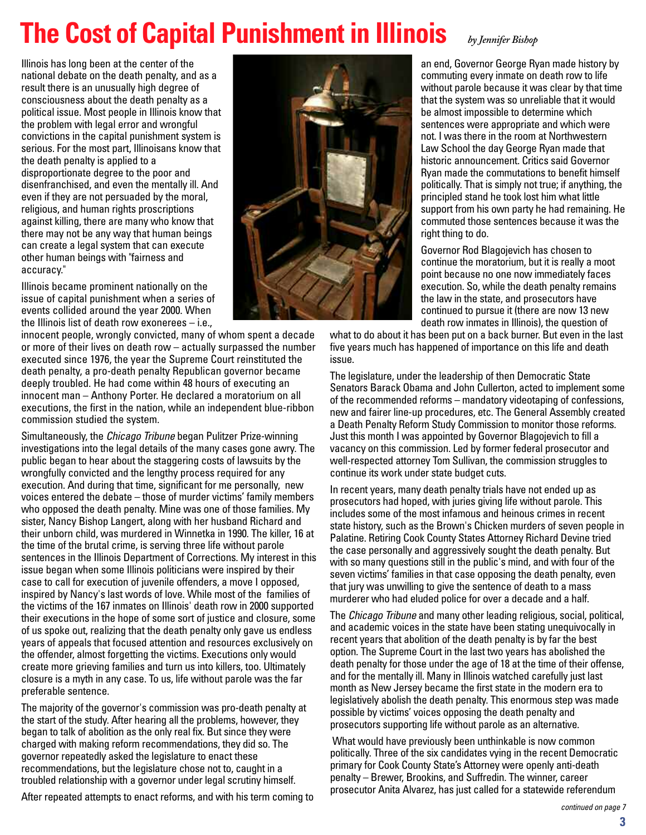# **The Cost of Capital Punishment in Illinois** *by Jennifer Bishop*

Illinois has long been at the center of the national debate on the death penalty, and as a result there is an unusually high degree of consciousness about the death penalty as a political issue. Most people in Illinois know that the problem with legal error and wrongful convictions in the capital punishment system is serious. For the most part, Illinoisans know that the death penalty is applied to a disproportionate degree to the poor and disenfranchised, and even the mentally ill. And even if they are not persuaded by the moral, religious, and human rights proscriptions against killing, there are many who know that there may not be any way that human beings can create a legal system that can execute other human beings with "fairness and accuracy."

Illinois became prominent nationally on the issue of capital punishment when a series of events collided around the year 2000. When the Illinois list of death row exonerees – i.e.,

innocent people, wrongly convicted, many of whom spent a decade or more of their lives on death row – actually surpassed the number executed since 1976, the year the Supreme Court reinstituted the death penalty, a pro-death penalty Republican governor became deeply troubled. He had come within 48 hours of executing an innocent man – Anthony Porter. He declared a moratorium on all executions, the first in the nation, while an independent blue-ribbon commission studied the system.

Simultaneously, the *Chicago Tribune* began Pulitzer Prize-winning investigations into the legal details of the many cases gone awry. The public began to hear about the staggering costs of lawsuits by the wrongfully convicted and the lengthy process required for any execution. And during that time, significant for me personally, new voices entered the debate – those of murder victims' family members who opposed the death penalty. Mine was one of those families. My sister, Nancy Bishop Langert, along with her husband Richard and their unborn child, was murdered in Winnetka in 1990. The killer, 16 at the time of the brutal crime, is serving three life without parole sentences in the Illinois Department of Corrections. My interest in this issue began when some Illinois politicians were inspired by their case to call for execution of juvenile offenders, a move I opposed, inspired by Nancy's last words of love. While most of the families of the victims of the 167 inmates on Illinois' death row in 2000 supported their executions in the hope of some sort of justice and closure, some of us spoke out, realizing that the death penalty only gave us endless years of appeals that focused attention and resources exclusively on the offender, almost forgetting the victims. Executions only would create more grieving families and turn us into killers, too. Ultimately closure is a myth in any case. To us, life without parole was the far preferable sentence.

The majority of the governor's commission was pro-death penalty at the start of the study. After hearing all the problems, however, they began to talk of abolition as the only real fix. But since they were charged with making reform recommendations, they did so. The governor repeatedly asked the legislature to enact these recommendations, but the legislature chose not to, caught in a troubled relationship with a governor under legal scrutiny himself.

After repeated attempts to enact reforms, and with his term coming to



an end, Governor George Ryan made history by commuting every inmate on death row to life without parole because it was clear by that time that the system was so unreliable that it would be almost impossible to determine which sentences were appropriate and which were not. I was there in the room at Northwestern Law School the day George Ryan made that historic announcement. Critics said Governor Ryan made the commutations to benefit himself politically. That is simply not true; if anything, the principled stand he took lost him what little support from his own party he had remaining. He commuted those sentences because it was the right thing to do.

Governor Rod Blagojevich has chosen to continue the moratorium, but it is really a moot point because no one now immediately faces execution. So, while the death penalty remains the law in the state, and prosecutors have continued to pursue it (there are now 13 new death row inmates in Illinois), the question of

what to do about it has been put on a back burner. But even in the last five years much has happened of importance on this life and death issue.

The legislature, under the leadership of then Democratic State Senators Barack Obama and John Cullerton, acted to implement some of the recommended reforms – mandatory videotaping of confessions, new and fairer line-up procedures, etc. The General Assembly created a Death Penalty Reform Study Commission to monitor those reforms. Just this month I was appointed by Governor Blagojevich to fill a vacancy on this commission. Led by former federal prosecutor and well-respected attorney Tom Sullivan, the commission struggles to continue its work under state budget cuts.

In recent years, many death penalty trials have not ended up as prosecutors had hoped, with juries giving life without parole. This includes some of the most infamous and heinous crimes in recent state history, such as the Brown's Chicken murders of seven people in Palatine. Retiring Cook County States Attorney Richard Devine tried the case personally and aggressively sought the death penalty. But with so many questions still in the public's mind, and with four of the seven victims' families in that case opposing the death penalty, even that jury was unwilling to give the sentence of death to a mass murderer who had eluded police for over a decade and a half.

The Chicago Tribune and many other leading religious, social, political, and academic voices in the state have been stating unequivocally in recent years that abolition of the death penalty is by far the best option. The Supreme Court in the last two years has abolished the death penalty for those under the age of 18 at the time of their offense, and for the mentally ill. Many in Illinois watched carefully just last month as New Jersey became the first state in the modern era to legislatively abolish the death penalty. This enormous step was made possible by victims' voices opposing the death penalty and prosecutors supporting life without parole as an alternative.

What would have previously been unthinkable is now common politically. Three of the six candidates vying in the recent Democratic primary for Cook County State's Attorney were openly anti-death penalty – Brewer, Brookins, and Suffredin. The winner, career prosecutor Anita Alvarez, has just called for a statewide referendum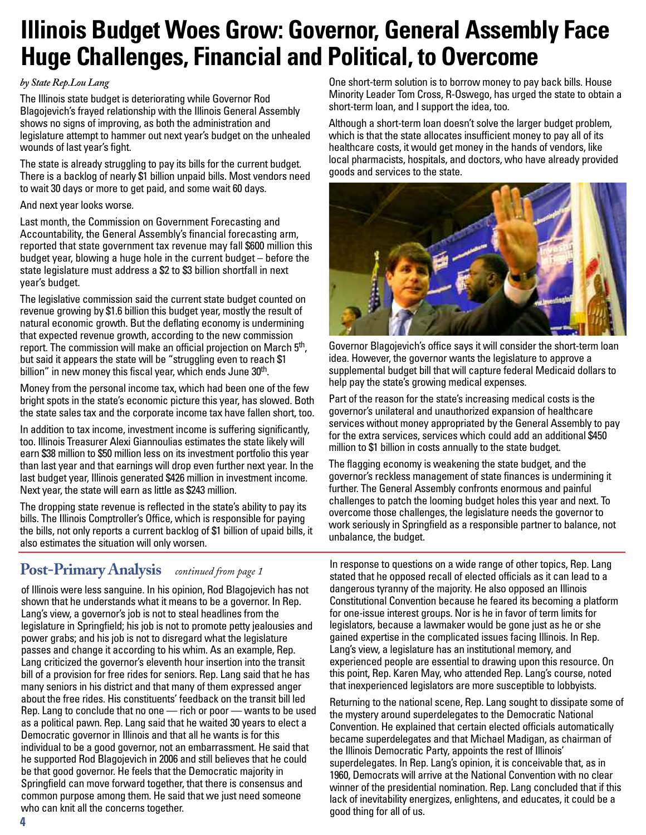## **Illinois Budget Woes Grow: Governor, General Assembly Face Huge Challenges, Financial and Political, to Overcome**

#### *by State Rep.Lou Lang*

The Illinois state budget is deteriorating while Governor Rod Blagojevich's frayed relationship with the Illinois General Assembly shows no signs of improving, as both the administration and legislature attempt to hammer out next year's budget on the unhealed wounds of last year's fight.

The state is already struggling to pay its bills for the current budget. There is a backlog of nearly \$1 billion unpaid bills. Most vendors need to wait 30 days or more to get paid, and some wait 60 days.

#### And next year looks worse.

Last month, the Commission on Government Forecasting and Accountability, the General Assembly's financial forecasting arm, reported that state government tax revenue may fall \$600 million this budget year, blowing a huge hole in the current budget – before the state legislature must address a \$2 to \$3 billion shortfall in next year's budget.

The legislative commission said the current state budget counted on revenue growing by \$1.6 billion this budget year, mostly the result of natural economic growth. But the deflating economy is undermining that expected revenue growth, according to the new commission report. The commission will make an official projection on March 5<sup>th</sup>, but said it appears the state will be "struggling even to reach \$1 billion" in new money this fiscal year, which ends June 30<sup>th</sup>.

Money from the personal income tax, which had been one of the few bright spots in the state's economic picture this year, has slowed. Both the state sales tax and the corporate income tax have fallen short, too.

In addition to tax income, investment income is suffering significantly, too. Illinois Treasurer Alexi Giannoulias estimates the state likely will earn \$38 million to \$50 million less on its investment portfolio this year than last year and that earnings will drop even further next year. In the last budget year, Illinois generated \$426 million in investment income. Next year, the state will earn as little as \$243 million.

The dropping state revenue is reflected in the state's ability to pay its bills. The Illinois Comptroller's Office, which is responsible for paying the bills, not only reports a current backlog of \$1 billion of upaid bills, it also estimates the situation will only worsen.

### **Post-Primary Analysis** *continued from page <sup>1</sup>*

of Illinois were less sanguine. In his opinion, Rod Blagojevich has not shown that he understands what it means to be a governor. In Rep. Lang's view, a governor's job is not to steal headlines from the legislature in Springfield; his job is not to promote petty jealousies and power grabs; and his job is not to disregard what the legislature passes and change it according to his whim. As an example, Rep. Lang criticized the governor's eleventh hour insertion into the transit bill of a provision for free rides for seniors. Rep. Lang said that he has many seniors in his district and that many of them expressed anger about the free rides. His constituents' feedback on the transit bill led Rep. Lang to conclude that no one — rich or poor — wants to be used as a political pawn. Rep. Lang said that he waited 30 years to elect a Democratic governor in Illinois and that all he wants is for this individual to be a good governor, not an embarrassment. He said that he supported Rod Blagojevich in 2006 and still believes that he could be that good governor. He feels that the Democratic majority in Springfield can move forward together, that there is consensus and common purpose among them. He said that we just need someone who can knit all the concerns together.

One short-term solution is to borrow money to pay back bills. House Minority Leader Tom Cross, R-Oswego, has urged the state to obtain a short-term loan, and I support the idea, too.

Although a short-term loan doesn't solve the larger budget problem, which is that the state allocates insufficient money to pay all of its healthcare costs, it would get money in the hands of vendors, like local pharmacists, hospitals, and doctors, who have already provided goods and services to the state.



Governor Blagojevich's office says it will consider the short-term loan idea. However, the governor wants the legislature to approve a supplemental budget bill that will capture federal Medicaid dollars to help pay the state's growing medical expenses.

Part of the reason for the state's increasing medical costs is the governor's unilateral and unauthorized expansion of healthcare services without money appropriated by the General Assembly to pay for the extra services, services which could add an additional \$450 million to \$1 billion in costs annually to the state budget.

The flagging economy is weakening the state budget, and the governor's reckless management of state finances is undermining it further. The General Assembly confronts enormous and painful challenges to patch the looming budget holes this year and next. To overcome those challenges, the legislature needs the governor to work seriously in Springfield as a responsible partner to balance, not unbalance, the budget.

In response to questions on a wide range of other topics, Rep. Lang stated that he opposed recall of elected officials as it can lead to a dangerous tyranny of the majority. He also opposed an Illinois Constitutional Convention because he feared its becoming a platform for one-issue interest groups. Nor is he in favor of term limits for legislators, because a lawmaker would be gone just as he or she gained expertise in the complicated issues facing Illinois. In Rep. Lang's view, a legislature has an institutional memory, and experienced people are essential to drawing upon this resource. On this point, Rep. Karen May, who attended Rep. Lang's course, noted that inexperienced legislators are more susceptible to lobbyists.

Returning to the national scene, Rep. Lang sought to dissipate some of the mystery around superdelegates to the Democratic National Convention. He explained that certain elected officials automatically became superdelegates and that Michael Madigan, as chairman of the Illinois Democratic Party, appoints the rest of Illinois' superdelegates. In Rep. Lang's opinion, it is conceivable that, as in 1960, Democrats will arrive at the National Convention with no clear winner of the presidential nomination. Rep. Lang concluded that if this lack of inevitability energizes, enlightens, and educates, it could be a good thing for all of us.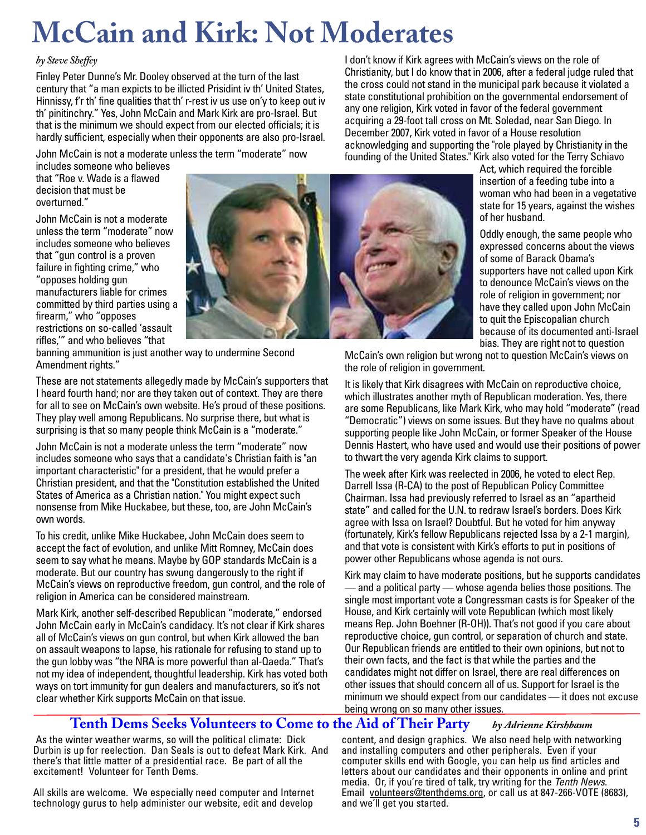# **McCain and Kirk: Not Moderates**

#### *by Steve Sheffey*

Finley Peter Dunne's Mr. Dooley observed at the turn of the last century that "a man expicts to be illicted Prisidint iv th' United States, Hinnissy, f'r th' fine qualities that th' r-rest iv us use on'y to keep out iv th' pinitinchry." Yes, John McCain and Mark Kirk are pro-Israel. But that is the minimum we should expect from our elected officials; it is hardly sufficient, especially when their opponents are also pro-Israel.

John McCain is not a moderate unless the term "moderate" now

I don't know if Kirk agrees with McCain's views on the role of Christianity, but I do know that in 2006, after a federal judge ruled that the cross could not stand in the municipal park because it violated a state constitutional prohibition on the governmental endorsement of any one religion, Kirk voted in favor of the federal government acquiring a 29-foot tall cross on Mt. Soledad, near San Diego. In December 2007, Kirk voted in favor of a House resolution acknowledging and supporting the "role played by Christianity in the founding of the United States." Kirk also voted for the Terry Schiavo

includes someone who believes that "Roe v. Wade is a flawed decision that must be overturned."

John McCain is not a moderate unless the term "moderate" now includes someone who believes that "gun control is a proven failure in fighting crime," who "opposes holding gun manufacturers liable for crimes committed by third parties using a firearm," who "opposes restrictions on so-called 'assault



rifles,'" and who believes "that banning ammunition is just another way to undermine Second Amendment rights."

These are not statements allegedly made by McCain's supporters that I heard fourth hand; nor are they taken out of context. They are there for all to see on McCain's own website. He's proud of these positions. They play well among Republicans. No surprise there, but what is surprising is that so many people think McCain is a "moderate."

John McCain is not a moderate unless the term "moderate" now includes someone who says that a candidate's Christian faith is "an important characteristic" for a president, that he would prefer a Christian president, and that the "Constitution established the United States of America as a Christian nation." You might expect such nonsense from Mike Huckabee, but these, too, are John McCain's own words.

To his credit, unlike Mike Huckabee, John McCain does seem to accept the fact of evolution, and unlike Mitt Romney, McCain does seem to say what he means. Maybe by GOP standards McCain is a moderate. But our country has swung dangerously to the right if McCain's views on reproductive freedom, gun control, and the role of religion in America can be considered mainstream.

Mark Kirk, another self-described Republican "moderate," endorsed John McCain early in McCain's candidacy. It's not clear if Kirk shares all of McCain's views on gun control, but when Kirk allowed the ban on assault weapons to lapse, his rationale for refusing to stand up to the gun lobby was "the NRA is more powerful than al-Qaeda." That's not my idea of independent, thoughtful leadership. Kirk has voted both ways on tort immunity for gun dealers and manufacturers, so it's not clear whether Kirk supports McCain on that issue.

Act, which required the forcible insertion of a feeding tube into a woman who had been in a vegetative state for 15 years, against the wishes of her husband.

Oddly enough, the same people who expressed concerns about the views of some of Barack Obama's supporters have not called upon Kirk to denounce McCain's views on the role of religion in government; nor have they called upon John McCain to quit the Episcopalian church because of its documented anti-Israel bias. They are right not to question

McCain's own religion but wrong not to question McCain's views on the role of religion in government.

It is likely that Kirk disagrees with McCain on reproductive choice, which illustrates another myth of Republican moderation. Yes, there are some Republicans, like Mark Kirk, who may hold "moderate" (read "Democratic") views on some issues. But they have no qualms about supporting people like John McCain, or former Speaker of the House Dennis Hastert, who have used and would use their positions of power to thwart the very agenda Kirk claims to support.

The week after Kirk was reelected in 2006, he voted to elect Rep. Darrell Issa (R-CA) to the post of Republican Policy Committee Chairman. Issa had previously referred to Israel as an "apartheid state" and called for the U.N. to redraw Israel's borders. Does Kirk agree with Issa on Israel? Doubtful. But he voted for him anyway (fortunately, Kirk's fellow Republicans rejected Issa by a 2-1 margin), and that vote is consistent with Kirk's efforts to put in positions of power other Republicans whose agenda is not ours.

Kirk may claim to have moderate positions, but he supports candidates  $-$  and a political party  $-$  whose agenda belies those positions. The single most important vote a Congressman casts is for Speaker of the House, and Kirk certainly will vote Republican (which most likely means Rep. John Boehner (R-OH)). That's not good if you care about reproductive choice, gun control, or separation of church and state. Our Republican friends are entitled to their own opinions, but not to their own facts, and the fact is that while the parties and the candidates might not differ on Israel, there are real differences on other issues that should concern all of us. Support for Israel is the minimum we should expect from our candidates — it does not excuse being wrong on so many other issues.

#### **Tenth Dems Seeks Volunteers to Come to the Aid of Their Party** *by Adrienne Kirshbaum*

As the winter weather warms, so will the political climate: Dick Durbin is up for reelection. Dan Seals is out to defeat Mark Kirk. And there's that little matter of a presidential race. Be part of all the excitement! Volunteer for Tenth Dems.

All skills are welcome. We especially need computer and Internet technology gurus to help administer our website, edit and develop

content, and design graphics. We also need help with networking and installing computers and other peripherals. Even if your computer skills end with Google, you can help us find articles and letters about our candidates and their opponents in online and print media. Or, if you're tired of talk, try writing for the Tenth News. Email volunteers@tenthdems.org, or call us at 847-266-VOTE (8683), and we'll get you started.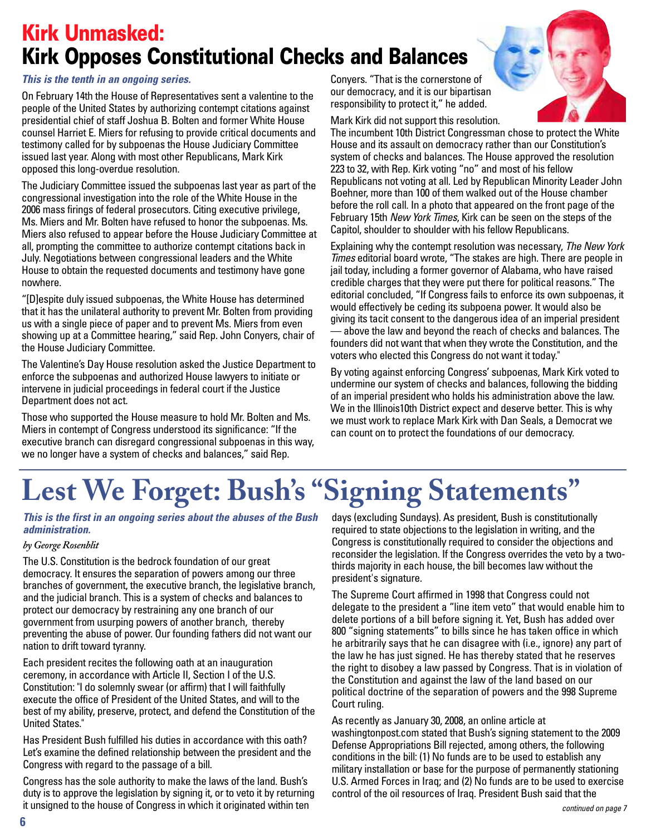## **Kirk Unmasked: Kirk Opposes Constitutional Checks and Balances**

#### *This is the tenth in an ongoing series.*

On February 14th the House of Representatives sent a valentine to the people of the United States by authorizing contempt citations against presidential chief of staff Joshua B. Bolten and former White House counsel Harriet E. Miers for refusing to provide critical documents and testimony called for by subpoenas the House Judiciary Committee issued last year. Along with most other Republicans, Mark Kirk opposed this long-overdue resolution.

The Judiciary Committee issued the subpoenas last year as part of the congressional investigation into the role of the White House in the 2006 mass firings of federal prosecutors. Citing executive privilege, Ms. Miers and Mr. Bolten have refused to honor the subpoenas. Ms. Miers also refused to appear before the House Judiciary Committee at all, prompting the committee to authorize contempt citations back in July. Negotiations between congressional leaders and the White House to obtain the requested documents and testimony have gone nowhere.

"[D]espite duly issued subpoenas, the White House has determined that it has the unilateral authority to prevent Mr. Bolten from providing us with a single piece of paper and to prevent Ms. Miers from even showing up at a Committee hearing," said Rep. John Conyers, chair of the House Judiciary Committee.

The Valentine's Day House resolution asked the Justice Department to enforce the subpoenas and authorized House lawyers to initiate or intervene in judicial proceedings in federal court if the Justice Department does not act.

Those who supported the House measure to hold Mr. Bolten and Ms. Miers in contempt of Congress understood its significance: "If the executive branch can disregard congressional subpoenas in this way, we no longer have a system of checks and balances," said Rep.

Conyers. "That is the cornerstone of our democracy, and it is our bipartisan responsibility to protect it," he added.

Mark Kirk did not support this resolution.

The incumbent 10th District Congressman chose to protect the White House and its assault on democracy rather than our Constitution's system of checks and balances. The House approved the resolution 223 to 32, with Rep. Kirk voting "no" and most of his fellow Republicans not voting at all. Led by Republican Minority Leader John Boehner, more than 100 of them walked out of the House chamber before the roll call. In a photo that appeared on the front page of the February 15th New York Times. Kirk can be seen on the steps of the Capitol, shoulder to shoulder with his fellow Republicans.

Explaining why the contempt resolution was necessary, The New York Times editorial board wrote, "The stakes are high. There are people in jail today, including a former governor of Alabama, who have raised credible charges that they were put there for political reasons." The editorial concluded, "If Congress fails to enforce its own subpoenas, it would effectively be ceding its subpoena power. It would also be giving its tacit consent to the dangerous idea of an imperial president — above the law and beyond the reach of checks and balances. The founders did not want that when they wrote the Constitution, and the voters who elected this Congress do not want it today."

By voting against enforcing Congress' subpoenas, Mark Kirk voted to undermine our system of checks and balances, following the bidding of an imperial president who holds his administration above the law. We in the Illinois10th District expect and deserve better. This is why we must work to replace Mark Kirk with Dan Seals, a Democrat we can count on to protect the foundations of our democracy.

# **Lest We Forget: Bush' s "Signing Statements "**

#### *This is the first in an ongoing series about the abuses of the Bush administration.*

#### *by George Rosenblit*

The U.S. Constitution is the bedrock foundation of our great democracy. It ensures the separation of powers among our three branches of government, the executive branch, the legislative branch, and the judicial branch. This is a system of checks and balances to protect our democracy by restraining any one branch of our government from usurping powers of another branch, thereby preventing the abuse of power. Our founding fathers did not want our nation to drift toward tyranny.

Each president recites the following oath at an inauguration ceremony, in accordance with Article II, Section I of the U.S. Constitution: "I do solemnly swear (or affirm) that I will faithfully execute the office of President of the United States, and will to the best of my ability, preserve, protect, and defend the Constitution of the United States."

Has President Bush fulfilled his duties in accordance with this oath? Let's examine the defined relationship between the president and the Congress with regard to the passage of a bill.

Congress has the sole authority to make the laws of the land. Bush's duty is to approve the legislation by signing it, or to veto it by returning it unsigned to the house of Congress in which it originated within ten

days (excluding Sundays). As president, Bush is constitutionally required to state objections to the legislation in writing, and the Congress is constitutionally required to consider the objections and reconsider the legislation. If the Congress overrides the veto by a twothirds majority in each house, the bill becomes law without the president's signature.

The Supreme Court affirmed in 1998 that Congress could not delegate to the president a "line item veto" that would enable him to delete portions of a bill before signing it. Yet, Bush has added over 800 "signing statements" to bills since he has taken office in which he arbitrarily says that he can disagree with (i.e., ignore) any part of the law he has just signed. He has thereby stated that he reserves the right to disobey a law passed by Congress. That is in violation of the Constitution and against the law of the land based on our political doctrine of the separation of powers and the 998 Supreme Court ruling.

As recently as January 30, 2008, an online article at washingtonpost.com stated that Bush's signing statement to the 2009 Defense Appropriations Bill rejected, among others, the following conditions in the bill: (1) No funds are to be used to establish any military installation or base for the purpose of permanently stationing U.S. Armed Forces in Iraq; and (2) No funds are to be used to exercise control of the oil resources of Iraq. President Bush said that the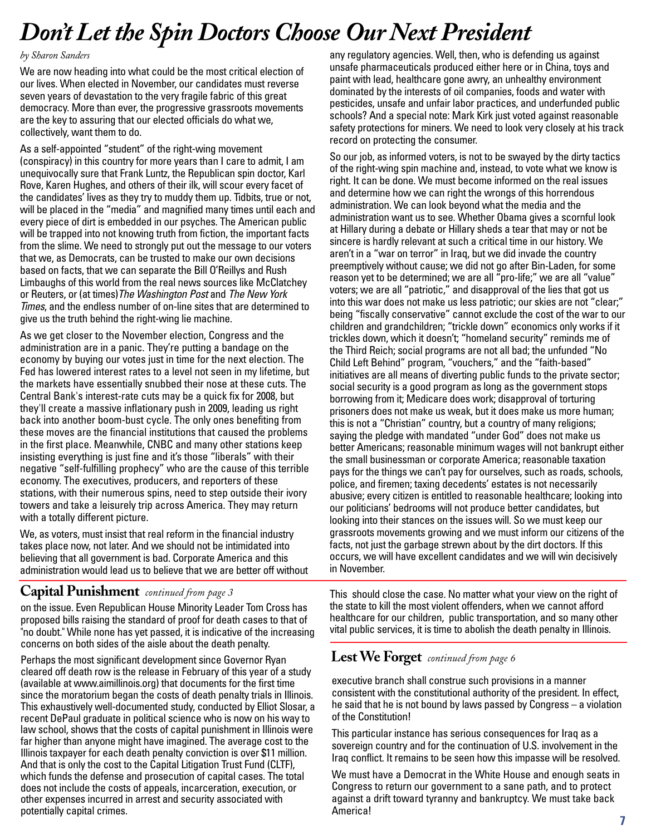# *Don 't Let the Spin DoctorsChoose Our Next President*

#### *by Sharon Sanders*

We are now heading into what could be the most critical election of our lives. When elected in November, our candidates must reverse seven years of devastation to the very fragile fabric of this great democracy. More than ever, the progressive grassroots movements are the key to assuring that our elected officials do what we, collectively, want them to do.

As a self-appointed "student" of the right-wing movement (conspiracy) in this country for more years than I care to admit, I am unequivocally sure that Frank Luntz, the Republican spin doctor, Karl Rove, Karen Hughes, and others of their ilk, will scour every facet of the candidates' lives as they try to muddy them up. Tidbits, true or not, will be placed in the "media" and magnified many times until each and every piece of dirt is embedded in our psyches. The American public will be trapped into not knowing truth from fiction, the important facts from the slime. We need to strongly put out the message to our voters that we, as Democrats, can be trusted to make our own decisions based on facts, that we can separate the Bill O'Reillys and Rush Limbaughs of this world from the real news sources like McClatchey or Reuters, or (at times)The Washington Post and The New York Times, and the endless number of on-line sites that are determined to give us the truth behind the right-wing lie machine.

As we get closer to the November election, Congress and the administration are in a panic. They're putting a bandage on the economy by buying our votes just in time for the next election. The Fed has lowered interest rates to a level not seen in my lifetime, but the markets have essentially snubbed their nose at these cuts. The Central Bank's interest-rate cuts may be a quick fix for 2008, but they'll create a massive inflationary push in 2009, leading us right back into another boom-bust cycle. The only ones benefiting from these moves are the financial institutions that caused the problems in the first place. Meanwhile, CNBC and many other stations keep insisting everything is just fine and it's those "liberals" with their negative "self-fulfilling prophecy" who are the cause of this terrible economy. The executives, producers, and reporters of these stations, with their numerous spins, need to step outside their ivory towers and take a leisurely trip across America. They may return with a totally different picture.

We, as voters, must insist that real reform in the financial industry takes place now, not later. And we should not be intimidated into believing that all government is bad. Corporate America and this administration would lead us to believe that we are better off without

#### **Capital Punishment** *continued from page 3*

on the issue. Even Republican House Minority Leader Tom Cross has proposed bills raising the standard of proof for death cases to that of "no doubt." While none has yet passed, it is indicative of the increasing concerns on both sides of the aisle about the death penalty.

Perhaps the most significant development since Governor Ryan cleared off death row is the release in February of this year of a study (available at www.aimillinois.org) that documents for the first time since the moratorium began the costs of death penalty trials in Illinois. This exhaustively well-documented study, conducted by Elliot Slosar, a recent DePaul graduate in political science who is now on his way to law school, shows that the costs of capital punishment in Illinois were far higher than anyone might have imagined. The average cost to the Illinois taxpayer for each death penalty conviction is over \$11 million. And that is only the cost to the Capital Litigation Trust Fund (CLTF), which funds the defense and prosecution of capital cases. The total does not include the costs of appeals, incarceration, execution, or other expenses incurred in arrest and security associated with potentially capital crimes.

any regulatory agencies. Well, then, who is defending us against unsafe pharmaceuticals produced either here or in China, toys and paint with lead, healthcare gone awry, an unhealthy environment dominated by the interests of oil companies, foods and water with pesticides, unsafe and unfair labor practices, and underfunded public schools? And a special note: Mark Kirk just voted against reasonable safety protections for miners. We need to look very closely at his track record on protecting the consumer.

So our job, as informed voters, is not to be swayed by the dirty tactics of the right-wing spin machine and, instead, to vote what we know is right. It can be done. We must become informed on the real issues and determine how we can right the wrongs of this horrendous administration. We can look beyond what the media and the administration want us to see. Whether Obama gives a scornful look at Hillary during a debate or Hillary sheds a tear that may or not be sincere is hardly relevant at such a critical time in our history. We aren't in a "war on terror" in Iraq, but we did invade the country preemptively without cause; we did not go after Bin-Laden, for some reason yet to be determined; we are all "pro-life;" we are all "value" voters; we are all "patriotic," and disapproval of the lies that got us into this war does not make us less patriotic; our skies are not "clear;" being "fiscally conservative" cannot exclude the cost of the war to our children and grandchildren; "trickle down" economics only works if it trickles down, which it doesn't; "homeland security" reminds me of the Third Reich; social programs are not all bad; the unfunded "No Child Left Behind" program, "vouchers," and the "faith-based" initiatives are all means of diverting public funds to the private sector; social security is a good program as long as the government stops borrowing from it; Medicare does work; disapproval of torturing prisoners does not make us weak, but it does make us more human; this is not a "Christian" country, but a country of many religions; saying the pledge with mandated "under God" does not make us better Americans; reasonable minimum wages will not bankrupt either the small businessman or corporate America; reasonable taxation pays for the things we can't pay for ourselves, such as roads, schools, police, and firemen; taxing decedents' estates is not necessarily abusive; every citizen is entitled to reasonable healthcare; looking into our politicians' bedrooms will not produce better candidates, but looking into their stances on the issues will. So we must keep our grassroots movements growing and we must inform our citizens of the facts, not just the garbage strewn about by the dirt doctors. If this occurs, we will have excellent candidates and we will win decisively in November.

This should close the case. No matter what your view on the right of the state to kill the most violent offenders, when we cannot afford healthcare for our children, public transportation, and so many other vital public services, it is time to abolish the death penalty in Illinois.

#### **LestWe Forget** *continued from page 6*

executive branch shall construe such provisions in a manner consistent with the constitutional authority of the president. In effect, he said that he is not bound by laws passed by Congress – a violation of the Constitution!

This particular instance has serious consequences for Iraq as a sovereign country and for the continuation of U.S. involvement in the Iraq conflict. It remains to be seen how this impasse will be resolved.

We must have a Democrat in the White House and enough seats in Congress to return our government to a sane path, and to protect against a drift toward tyranny and bankruptcy. We must take back America!